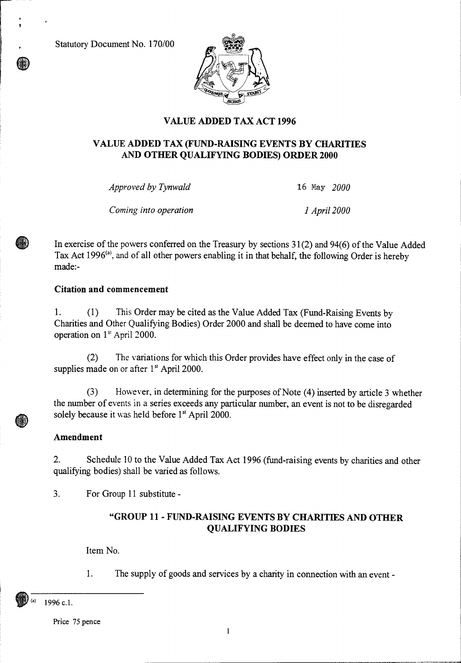Statutory Document No. 170/00



# **VALUE ADDED TAX ACT 1996**

### **VALUE ADDED TAX (FUND-RAISING EVENTS BY CHARITIES AND OTHER QUALIFYING BODIES) ORDER 2000**

*Approved by Tynwald* 16 May *2000* 

*Corning into operation 1 April 2000* 

In exercise of the powers conferred on the Treasury by sections 31(2) and 94(6) of the Value Added Tax Act 1996<sup>(a)</sup>, and of all other powers enabling it in that behalf, the following Order is hereby made:-

### **Citation and commencement**

1. (1) This Order may be cited as the Value Added Tax (Fund-Raising Events by Charities and Other Qualifying Bodies) Order 2000 and shall be deemed to have come into operation on 1<sup>st</sup> April 2000.

(2) The variations for which this Order provides have effect only in the case of supplies made on or after 1<sup>st</sup> April 2000.

(3) However, in determining for the purposes of Note (4) inserted by article 3 whether the number of events in a series exceeds any particular number, an event is not to be disregarded solely because it was held before 1<sup>st</sup> April 2000.

#### **Amendment**

2. Schedule 10 to the Value Added Tax Act 1996 (fund-raising events by charities and other qualifying bodies) shall be varied as follows.

3. For Group 11 substitute -

## **"GROUP 11 - FUND-RAISING EVENTS BY CHARITIES AND OTHER QUALIFYING BODIES**

Item No.

1. The supply of goods and services by a charity in connection with an event -

1996 c.1.

Price 75 pence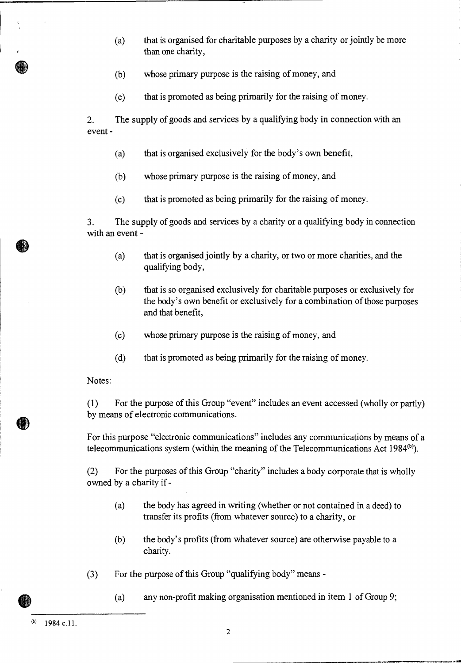- (a) that is organised for charitable purposes by a charity or jointly be more than one charity,
- (b) whose primary purpose is the raising of money, and
- (c) that is promoted as being primarily for the raising of money.

2. The supply of goods and services by a qualifying body in connection with an event -

- (a) that is organised exclusively for the body's own benefit,
- (b) whose primary purpose is the raising of money, and
- (c) that is promoted as being primarily for the raising of money.

3. The supply of goods and services by a charity or a qualifying body in connection with an event -

- (a) that is organised jointly by a charity, or two or more charities, and the qualifying body,
- (b) that is so organised exclusively for charitable purposes or exclusively for the body's own benefit or exclusively for a combination of those purposes and that benefit,
- (c) whose primary purpose is the raising of money, and
- (d) that is promoted as being primarily for the raising of money.

Notes:

(1) For the purpose of this Group "event" includes an event accessed (wholly or partly) by means of electronic communications.

For this purpose "electronic communications" includes any communications by means of a telecommunications system (within the meaning of the Telecommunications Act  $1984<sup>(b)</sup>$ ).

(2) For the purposes of this Group "charity" includes a body corporate that is wholly owned by a charity if -

- (a) the body has agreed in writing (whether or not contained in a deed) to transfer its profits (from whatever source) to a charity, or
- (b) the body's profits (from whatever source) are otherwise payable to a charity.
- (3) For the purpose of this Group "qualifying body" means
	- (a) any non-profit making organisation mentioned in item 1 of Group 9;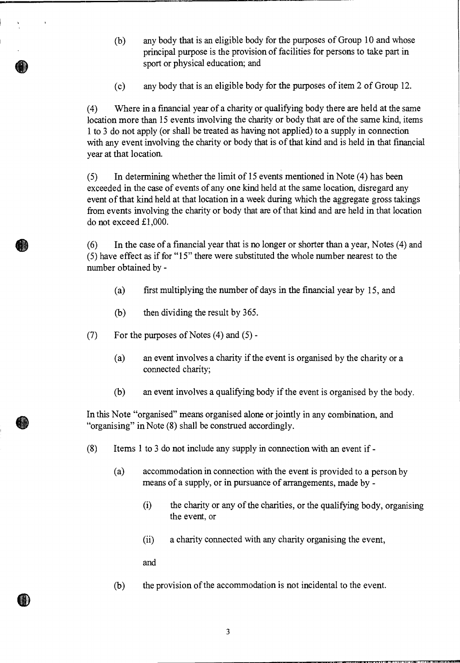- (b) any body that is an eligible body for the purposes of Group 10 and whose principal purpose is the provision of facilities for persons to take part in sport or physical education; and
- (c) any body that is an eligible body for the purposes of item 2 of Group 12.

(4) Where in a financial year of a charity or qualifying body there are held at the same location more than 15 events involving the charity or body that are of the same kind, items 1 to 3 do not apply (or shall be treated as having not applied) to a supply in connection with any event involving the charity or body that is of that kind and is held in that financial year at that location.

(5) In determining whether the limit of 15 events mentioned in Note (4) has been exceeded in the case of events of any one kind held at the same location, disregard any event of that kind held at that location in a week during which the aggregate gross takings from events involving the charity or body that are of that kind and are held in that location do not exceed £1,000.

(6) In the case of a financial year that is no longer or shorter than a year, Notes (4) and (5) have effect as if for "15" there were substituted the whole number nearest to the number obtained by -

- (a) first multiplying the number of days in the financial year by 15, and
- (b) then dividing the result by 365.
- (7) For the purposes of Notes (4) and (5)
	- (a) an event involves a charity if the event is organised by the charity or a connected charity;
	- (b) an event involves a qualifying body if the event is organised by the body.

In this Note "organised" means organised alone or jointly in any combination, and "organising" in Note (8) shall be construed accordingly.

- (8) Items 1 to 3 do not include any supply in connection with an event if
	- (a) accommodation in connection with the event is provided to a person by means of a supply, or in pursuance of arrangements, made by -
		- (i) the charity or any of the charities, or the qualifying body, organising the event, or
		- (ii) a charity connected with any charity organising the event,

and

 $\bullet$ 

OD

(b) the provision of the accommodation is not incidental to the event.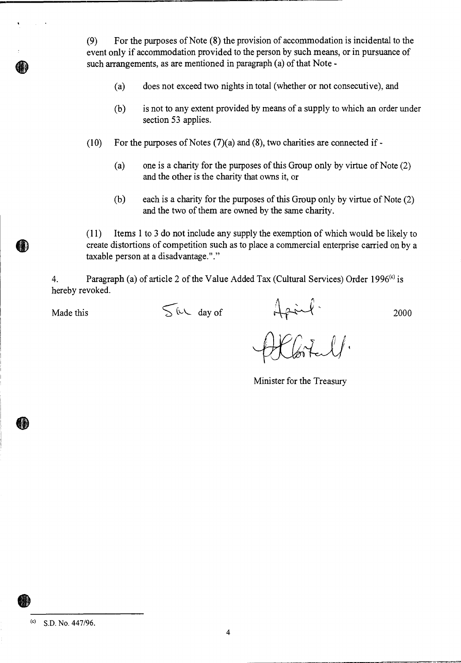(9) For the purposes of Note (8) the provision of accommodation is incidental to the event only if accommodation provided to the person by such means, or in pursuance of such arrangements, as are mentioned in paragraph (a) of that Note -

- (a) does not exceed two nights in total (whether or not consecutive), and
- (b) is not to any extent provided by means of a supply to which an order under section 53 applies.
- (10) For the purposes of Notes  $(7)(a)$  and  $(8)$ , two charities are connected if -
	- (a) one is a charity for the purposes of this Group only by virtue of Note (2) and the other is the charity that owns it, or
	- (b) each is a charity for the purposes of this Group only by virtue of Note (2) and the two of them are owned by the same charity.

(11) Items 1 to 3 do not include any supply the exemption of which would be likely to create distortions of competition such as to place a commercial enterprise carried on by a taxable person at a disadvantage."."

4. Paragraph (a) of article 2 of the Value Added Tax (Cultural Services) Order 1996<sup>(c)</sup> is hereby revoked.

Made this  $\int \psi \, d\psi$  of  $\int \psi \, d\psi$  2000

Minister for the Treasury